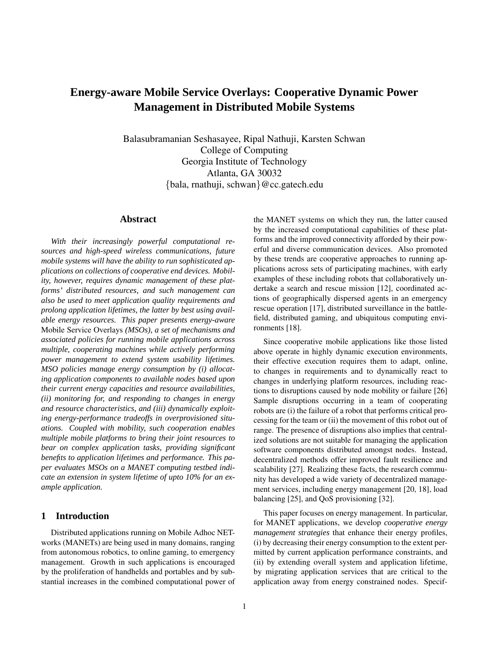# **Energy-aware Mobile Service Overlays: Cooperative Dynamic Power Management in Distributed Mobile Systems**

Balasubramanian Seshasayee, Ripal Nathuji, Karsten Schwan College of Computing Georgia Institute of Technology Atlanta, GA 30032 {bala, rnathuji, schwan}@cc.gatech.edu

# **Abstract**

*With their increasingly powerful computational resources and high-speed wireless communications, future mobile systems will have the ability to run sophisticated applications on collections of cooperative end devices. Mobility, however, requires dynamic management of these platforms' distributed resources, and such management can also be used to meet application quality requirements and prolong application lifetimes, the latter by best using available energy resources. This paper presents energy-aware* Mobile Service Overlays *(MSOs), a set of mechanisms and associated policies for running mobile applications across multiple, cooperating machines while actively performing power management to extend system usability lifetimes. MSO policies manage energy consumption by (i) allocating application components to available nodes based upon their current energy capacities and resource availabilities, (ii) monitoring for, and responding to changes in energy and resource characteristics, and (iii) dynamically exploiting energy-performance tradeoffs in overprovisioned situations. Coupled with mobility, such cooperation enables multiple mobile platforms to bring their joint resources to bear on complex application tasks, providing significant benefits to application lifetimes and performance. This paper evaluates MSOs on a MANET computing testbed indicate an extension in system lifetime of upto 10% for an example application.*

# **1 Introduction**

Distributed applications running on Mobile Adhoc NETworks (MANETs) are being used in many domains, ranging from autonomous robotics, to online gaming, to emergency management. Growth in such applications is encouraged by the proliferation of handhelds and portables and by substantial increases in the combined computational power of the MANET systems on which they run, the latter caused by the increased computational capabilities of these platforms and the improved connectivity afforded by their powerful and diverse communication devices. Also promoted by these trends are cooperative approaches to running applications across sets of participating machines, with early examples of these including robots that collaboratively undertake a search and rescue mission [12], coordinated actions of geographically dispersed agents in an emergency rescue operation [17], distributed surveillance in the battlefield, distributed gaming, and ubiquitous computing environments [18].

Since cooperative mobile applications like those listed above operate in highly dynamic execution environments, their effective execution requires them to adapt, online, to changes in requirements and to dynamically react to changes in underlying platform resources, including reactions to disruptions caused by node mobility or failure [26] Sample disruptions occurring in a team of cooperating robots are (i) the failure of a robot that performs critical processing for the team or (ii) the movement of this robot out of range. The presence of disruptions also implies that centralized solutions are not suitable for managing the application software components distributed amongst nodes. Instead, decentralized methods offer improved fault resilience and scalability [27]. Realizing these facts, the research community has developed a wide variety of decentralized management services, including energy management [20, 18], load balancing [25], and QoS provisioning [32].

This paper focuses on energy management. In particular, for MANET applications, we develop *cooperative energy management strategies* that enhance their energy profiles, (i) by decreasing their energy consumption to the extent permitted by current application performance constraints, and (ii) by extending overall system and application lifetime, by migrating application services that are critical to the application away from energy constrained nodes. Specif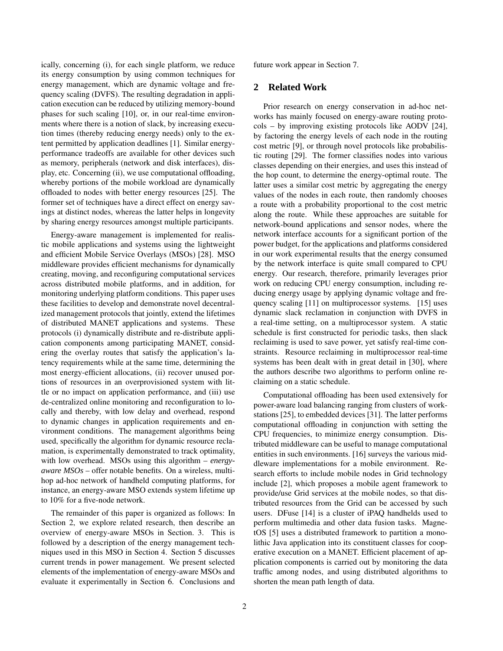ically, concerning (i), for each single platform, we reduce its energy consumption by using common techniques for energy management, which are dynamic voltage and frequency scaling (DVFS). The resulting degradation in application execution can be reduced by utilizing memory-bound phases for such scaling [10], or, in our real-time environments where there is a notion of slack, by increasing execution times (thereby reducing energy needs) only to the extent permitted by application deadlines [1]. Similar energyperformance tradeoffs are available for other devices such as memory, peripherals (network and disk interfaces), display, etc. Concerning (ii), we use computational offloading, whereby portions of the mobile workload are dynamically offloaded to nodes with better energy resources [25]. The former set of techniques have a direct effect on energy savings at distinct nodes, whereas the latter helps in longevity by sharing energy resources amongst multiple participants.

Energy-aware management is implemented for realistic mobile applications and systems using the lightweight and efficient Mobile Service Overlays (MSOs) [28]. MSO middleware provides efficient mechanisms for dynamically creating, moving, and reconfiguring computational services across distributed mobile platforms, and in addition, for monitoring underlying platform conditions. This paper uses these facilities to develop and demonstrate novel decentralized management protocols that jointly, extend the lifetimes of distributed MANET applications and systems. These protocols (i) dynamically distribute and re-distribute application components among participating MANET, considering the overlay routes that satisfy the application's latency requirements while at the same time, determining the most energy-efficient allocations, (ii) recover unused portions of resources in an overprovisioned system with little or no impact on application performance, and (iii) use de-centralized online monitoring and reconfiguration to locally and thereby, with low delay and overhead, respond to dynamic changes in application requirements and environment conditions. The management algorithms being used, specifically the algorithm for dynamic resource reclamation, is experimentally demonstrated to track optimality, with low overhead. MSOs using this algorithm – *energyaware MSOs* – offer notable benefits. On a wireless, multihop ad-hoc network of handheld computing platforms, for instance, an energy-aware MSO extends system lifetime up to 10% for a five-node network.

The remainder of this paper is organized as follows: In Section 2, we explore related research, then describe an overview of energy-aware MSOs in Section. 3. This is followed by a description of the energy management techniques used in this MSO in Section 4. Section 5 discusses current trends in power management. We present selected elements of the implementation of energy-aware MSOs and evaluate it experimentally in Section 6. Conclusions and

future work appear in Section 7.

# **2 Related Work**

Prior research on energy conservation in ad-hoc networks has mainly focused on energy-aware routing protocols – by improving existing protocols like AODV [24], by factoring the energy levels of each node in the routing cost metric [9], or through novel protocols like probabilistic routing [29]. The former classifies nodes into various classes depending on their energies, and uses this instead of the hop count, to determine the energy-optimal route. The latter uses a similar cost metric by aggregating the energy values of the nodes in each route, then randomly chooses a route with a probability proportional to the cost metric along the route. While these approaches are suitable for network-bound applications and sensor nodes, where the network interface accounts for a significant portion of the power budget, for the applications and platforms considered in our work experimental results that the energy consumed by the network interface is quite small compared to CPU energy. Our research, therefore, primarily leverages prior work on reducing CPU energy consumption, including reducing energy usage by applying dynamic voltage and frequency scaling [11] on multiprocessor systems. [15] uses dynamic slack reclamation in conjunction with DVFS in a real-time setting, on a multiprocessor system. A static schedule is first constructed for periodic tasks, then slack reclaiming is used to save power, yet satisfy real-time constraints. Resource reclaiming in multiprocessor real-time systems has been dealt with in great detail in [30], where the authors describe two algorithms to perform online reclaiming on a static schedule.

Computational offloading has been used extensively for power-aware load balancing ranging from clusters of workstations [25], to embedded devices [31]. The latter performs computational offloading in conjunction with setting the CPU frequencies, to minimize energy consumption. Distributed middleware can be useful to manage computational entities in such environments. [16] surveys the various middleware implementations for a mobile environment. Research efforts to include mobile nodes in Grid technology include [2], which proposes a mobile agent framework to provide/use Grid services at the mobile nodes, so that distributed resources from the Grid can be accessed by such users. DFuse [14] is a cluster of iPAQ handhelds used to perform multimedia and other data fusion tasks. MagnetOS [5] uses a distributed framework to partition a monolithic Java application into its constituent classes for cooperative execution on a MANET. Efficient placement of application components is carried out by monitoring the data traffic among nodes, and using distributed algorithms to shorten the mean path length of data.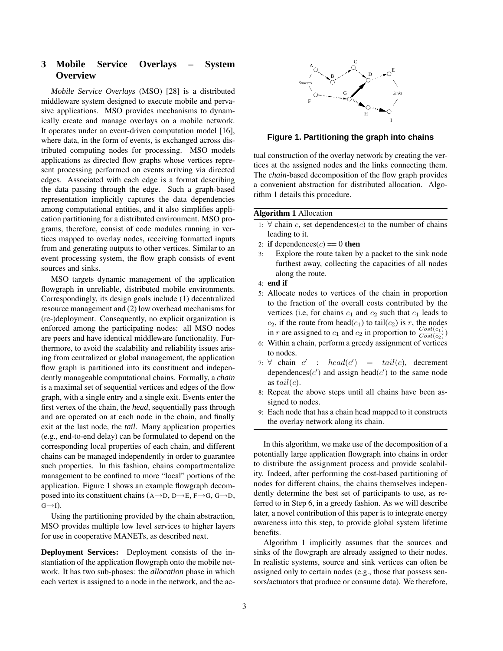# **3 Mobile Service Overlays – System Overview**

*Mobile Service Overlays* (MSO) [28] is a distributed middleware system designed to execute mobile and pervasive applications. MSO provides mechanisms to dynamically create and manage overlays on a mobile network. It operates under an event-driven computation model [16], where data, in the form of events, is exchanged across distributed computing nodes for processing. MSO models applications as directed flow graphs whose vertices represent processing performed on events arriving via directed edges. Associated with each edge is a format describing the data passing through the edge. Such a graph-based representation implicitly captures the data dependencies among computational entities, and it also simplifies application partitioning for a distributed environment. MSO programs, therefore, consist of code modules running in vertices mapped to overlay nodes, receiving formatted inputs from and generating outputs to other vertices. Similar to an event processing system, the flow graph consists of event sources and sinks.

MSO targets dynamic management of the application flowgraph in unreliable, distributed mobile environments. Correspondingly, its design goals include (1) decentralized resource management and (2) low overhead mechanisms for (re-)deployment. Consequently, no explicit organization is enforced among the participating nodes: all MSO nodes are peers and have identical middleware functionality. Furthermore, to avoid the scalability and reliability issues arising from centralized or global management, the application flow graph is partitioned into its constituent and independently manageable computational chains. Formally, a *chain* is a maximal set of sequential vertices and edges of the flow graph, with a single entry and a single exit. Events enter the first vertex of the chain, the *head*, sequentially pass through and are operated on at each node in the chain, and finally exit at the last node, the *tail*. Many application properties (e.g., end-to-end delay) can be formulated to depend on the corresponding local properties of each chain, and different chains can be managed independently in order to guarantee such properties. In this fashion, chains compartmentalize management to be confined to more "local" portions of the application. Figure 1 shows an example flowgraph decomposed into its constituent chains  $(A \rightarrow D, D \rightarrow E, F \rightarrow G, G \rightarrow D,$  $G\rightarrow I$ ).

Using the partitioning provided by the chain abstraction, MSO provides multiple low level services to higher layers for use in cooperative MANETs, as described next.

**Deployment Services:** Deployment consists of the instantiation of the application flowgraph onto the mobile network. It has two sub-phases: the *allocation* phase in which each vertex is assigned to a node in the network, and the ac-



**Figure 1. Partitioning the graph into chains**

tual construction of the overlay network by creating the vertices at the assigned nodes and the links connecting them. The *chain*-based decomposition of the flow graph provides a convenient abstraction for distributed allocation. Algorithm 1 details this procedure.

#### **Algorithm 1** Allocation

- 1: ∀ chain *c*, set dependences(*c*) to the number of chains leading to it.
- 2: **if** dependences $(c) == 0$  **then**
- 3: Explore the route taken by a packet to the sink node furthest away, collecting the capacities of all nodes along the route.
- 4: **end if**
- 5: Allocate nodes to vertices of the chain in proportion to the fraction of the overall costs contributed by the vertices (i.e, for chains  $c_1$  and  $c_2$  such that  $c_1$  leads to  $c_2$ , if the route from head( $c_1$ ) to tail( $c_2$ ) is r, the nodes in r are assigned to  $c_1$  and  $c_2$  in proportion to  $\frac{Cost(c_1)}{Cost(c_2)}$
- 6: Within a chain, perform a greedy assignment of vertices to nodes.
- 7:  $\forall$  chain  $c'$  :  $head(c')$  =  $tail(c)$ , decrement dependences( $c'$ ) and assign head( $c'$ ) to the same node as  $tail(c)$ .
- 8: Repeat the above steps until all chains have been assigned to nodes.
- 9: Each node that has a chain head mapped to it constructs the overlay network along its chain.

In this algorithm, we make use of the decomposition of a potentially large application flowgraph into chains in order to distribute the assignment process and provide scalability. Indeed, after performing the cost-based partitioning of nodes for different chains, the chains themselves independently determine the best set of participants to use, as referred to in Step 6, in a greedy fashion. As we will describe later, a novel contribution of this paper is to integrate energy awareness into this step, to provide global system lifetime benefits.

Algorithm 1 implicitly assumes that the sources and sinks of the flowgraph are already assigned to their nodes. In realistic systems, source and sink vertices can often be assigned only to certain nodes (e.g., those that possess sensors/actuators that produce or consume data). We therefore,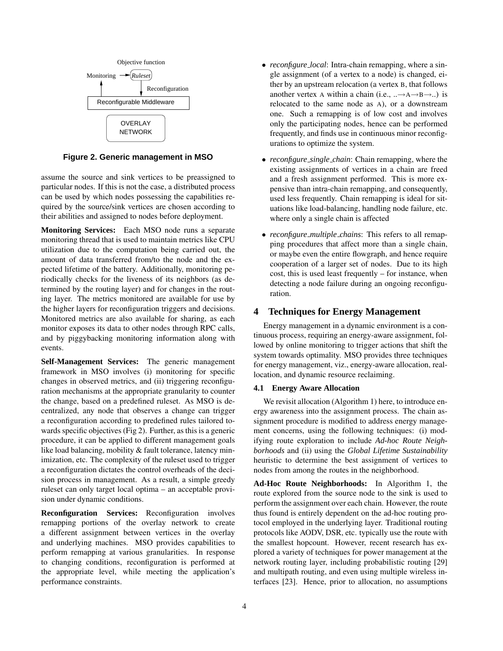

**Figure 2. Generic management in MSO**

assume the source and sink vertices to be preassigned to particular nodes. If this is not the case, a distributed process can be used by which nodes possessing the capabilities required by the source/sink vertices are chosen according to their abilities and assigned to nodes before deployment.

**Monitoring Services:** Each MSO node runs a separate monitoring thread that is used to maintain metrics like CPU utilization due to the computation being carried out, the amount of data transferred from/to the node and the expected lifetime of the battery. Additionally, monitoring periodically checks for the liveness of its neighbors (as determined by the routing layer) and for changes in the routing layer. The metrics monitored are available for use by the higher layers for reconfiguration triggers and decisions. Monitored metrics are also available for sharing, as each monitor exposes its data to other nodes through RPC calls, and by piggybacking monitoring information along with events.

**Self-Management Services:** The generic management framework in MSO involves (i) monitoring for specific changes in observed metrics, and (ii) triggering reconfiguration mechanisms at the appropriate granularity to counter the change, based on a predefined ruleset. As MSO is decentralized, any node that observes a change can trigger a reconfiguration according to predefined rules tailored towards specific objectives (Fig 2). Further, as this is a generic procedure, it can be applied to different management goals like load balancing, mobility & fault tolerance, latency minimization, etc. The complexity of the ruleset used to trigger a reconfiguration dictates the control overheads of the decision process in management. As a result, a simple greedy ruleset can only target local optima – an acceptable provision under dynamic conditions.

**Reconfiguration Services:** Reconfiguration involves remapping portions of the overlay network to create a different assignment between vertices in the overlay and underlying machines. MSO provides capabilities to perform remapping at various granularities. In response to changing conditions, reconfiguration is performed at the appropriate level, while meeting the application's performance constraints.

- *reconfigure local*: Intra-chain remapping, where a single assignment (of a vertex to a node) is changed, either by an upstream relocation (a vertex B, that follows another vertex A within a chain (i.e.,  $\ldots \rightarrow A \rightarrow B \rightarrow \ldots$ ) is relocated to the same node as A), or a downstream one. Such a remapping is of low cost and involves only the participating nodes, hence can be performed frequently, and finds use in continuous minor reconfigurations to optimize the system.
- *reconfigure single chain*: Chain remapping, where the existing assignments of vertices in a chain are freed and a fresh assignment performed. This is more expensive than intra-chain remapping, and consequently, used less frequently. Chain remapping is ideal for situations like load-balancing, handling node failure, etc. where only a single chain is affected
- *reconfigure multiple chains*: This refers to all remapping procedures that affect more than a single chain, or maybe even the entire flowgraph, and hence require cooperation of a larger set of nodes. Due to its high cost, this is used least frequently – for instance, when detecting a node failure during an ongoing reconfiguration.

# **4 Techniques for Energy Management**

Energy management in a dynamic environment is a continuous process, requiring an energy-aware assignment, followed by online monitoring to trigger actions that shift the system towards optimality. MSO provides three techniques for energy management, viz., energy-aware allocation, reallocation, and dynamic resource reclaiming.

#### **4.1 Energy Aware Allocation**

We revisit allocation (Algorithm 1) here, to introduce energy awareness into the assignment process. The chain assignment procedure is modified to address energy management concerns, using the following techniques: (i) modifying route exploration to include *Ad-hoc Route Neighborhoods* and (ii) using the *Global Lifetime Sustainability* heuristic to determine the best assignment of vertices to nodes from among the routes in the neighborhood.

**Ad-Hoc Route Neighborhoods:** In Algorithm 1, the route explored from the source node to the sink is used to perform the assignment over each chain. However, the route thus found is entirely dependent on the ad-hoc routing protocol employed in the underlying layer. Traditional routing protocols like AODV, DSR, etc. typically use the route with the smallest hopcount. However, recent research has explored a variety of techniques for power management at the network routing layer, including probabilistic routing [29] and multipath routing, and even using multiple wireless interfaces [23]. Hence, prior to allocation, no assumptions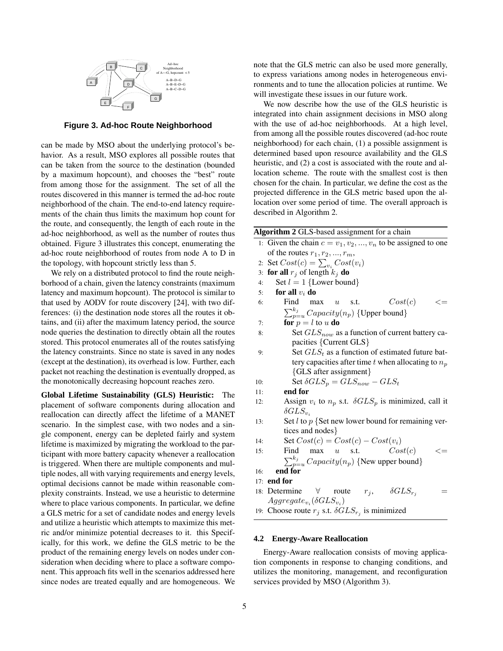

**Figure 3. Ad-hoc Route Neighborhood**

can be made by MSO about the underlying protocol's behavior. As a result, MSO explores all possible routes that can be taken from the source to the destination (bounded by a maximum hopcount), and chooses the "best" route from among those for the assignment. The set of all the routes discovered in this manner is termed the ad-hoc route neighborhood of the chain. The end-to-end latency requirements of the chain thus limits the maximum hop count for the route, and consequently, the length of each route in the ad-hoc neighborhood, as well as the number of routes thus obtained. Figure 3 illustrates this concept, enumerating the ad-hoc route neighborhood of routes from node A to D in the topology, with hopcount strictly less than 5.

We rely on a distributed protocol to find the route neighborhood of a chain, given the latency constraints (maximum latency and maximum hopcount). The protocol is similar to that used by AODV for route discovery [24], with two differences: (i) the destination node stores all the routes it obtains, and (ii) after the maximum latency period, the source node queries the destination to directly obtain all the routes stored. This protocol enumerates all of the routes satisfying the latency constraints. Since no state is saved in any nodes (except at the destination), its overhead is low. Further, each packet not reaching the destination is eventually dropped, as the monotonically decreasing hopcount reaches zero.

**Global Lifetime Sustainability (GLS) Heuristic:** The placement of software components during allocation and reallocation can directly affect the lifetime of a MANET scenario. In the simplest case, with two nodes and a single component, energy can be depleted fairly and system lifetime is maximized by migrating the workload to the participant with more battery capacity whenever a reallocation is triggered. When there are multiple components and multiple nodes, all with varying requirements and energy levels, optimal decisions cannot be made within reasonable complexity constraints. Instead, we use a heuristic to determine where to place various components. In particular, we define a GLS metric for a set of candidate nodes and energy levels and utilize a heuristic which attempts to maximize this metric and/or minimize potential decreases to it. this Specifically, for this work, we define the GLS metric to be the product of the remaining energy levels on nodes under consideration when deciding where to place a software component. This approach fits well in the scenarios addressed here since nodes are treated equally and are homogeneous. We note that the GLS metric can also be used more generally, to express variations among nodes in heterogeneous environments and to tune the allocation policies at runtime. We will investigate these issues in our future work.

We now describe how the use of the GLS heuristic is integrated into chain assignment decisions in MSO along with the use of ad-hoc neighborhoods. At a high level, from among all the possible routes discovered (ad-hoc route neighborhood) for each chain, (1) a possible assignment is determined based upon resource availability and the GLS heuristic, and (2) a cost is associated with the route and allocation scheme. The route with the smallest cost is then chosen for the chain. In particular, we define the cost as the projected difference in the GLS metric based upon the allocation over some period of time. The overall approach is described in Algorithm 2.

|     | Algorithm 2 GLS-based assignment for a chain                    |
|-----|-----------------------------------------------------------------|
|     | 1: Given the chain $c = v_1, v_2, , v_n$ to be assigned to one  |
|     | of the routes $r_1, r_2, , r_m$ ,                               |
|     | 2: Set $Cost(c) = \sum_{v_i} Cost(v_i)$                         |
| 3:  | <b>for all</b> $r_j$ of length $k_j$ <b>do</b>                  |
| 4:  | Set $l = 1$ {Lower bound}                                       |
| 5:  | for all $v_i$ do                                                |
| 6:  | Cost(c)<br>Find<br>$max \quad u$ s.t.                           |
|     | $\sum_{p=u}^{k_j} Capacity(n_p)$ {Upper bound}                  |
| 7:  | <b>for</b> $p = l$ to u <b>do</b>                               |
| 8:  | Set $GLS_{now}$ as a function of current battery ca-            |
|     | pacities {Current GLS}                                          |
| 9:  | Set $GLS_t$ as a function of estimated future bat-              |
|     | tery capacities after time t when allocating to $n_p$           |
|     | {GLS after assignment}                                          |
| 10: | Set $\delta GLS_p = GLS_{now} - GLS_t$                          |
| 11: | end for                                                         |
| 12: | Assign $v_i$ to $n_p$ s.t. $\delta GLS_p$ is minimized, call it |
|     | $\delta GLS_{v_i}$                                              |
| 13: | Set $l$ to $p$ {Set new lower bound for remaining ver-          |
|     | tices and nodes}                                                |
| 14: | Set $Cost(c) = Cost(c) - Cost(v_i)$                             |
| 15: | Cost(c)<br>Find<br>max<br>$\overline{u}$<br>S.t.                |
|     | $\sum_{p=u}^{k_j} Capacity(n_p)$ {New upper bound}              |
| 16: | end for                                                         |
|     | $17:$ end for                                                   |
|     | 18: Determine $\forall$ route $r_j$ , $\delta GLS_{r_j}$        |
|     | $Aggregate_{v_i}(\delta GLS_{v_i})$                             |
|     | 19: Choose route $r_j$ s.t. $\delta GLS_{r_j}$ is minimized     |
|     |                                                                 |

# **4.2 Energy-Aware Reallocation**

Energy-Aware reallocation consists of moving application components in response to changing conditions, and utilizes the monitoring, management, and reconfiguration services provided by MSO (Algorithm 3).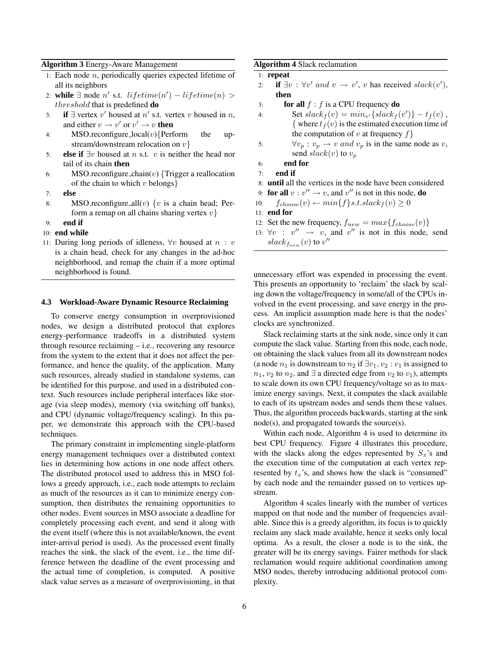#### **Algorithm 3** Energy-Aware Management

- 1: Each node  $n$ , periodically queries expected lifetime of all its neighbors
- 2: **while**  $\exists$  node n' s.t. lifetime(n') lifetime(n) > threshold that is predefined **do**
- 3: **if**  $\exists$  vertex v' housed at n' s.t. vertex v housed in n, and either  $v \to v'$  or  $v' \to v$  then
- 4: MSO.reconfigure\_ $local(v)$ {Perform the upstream/downstream relocation on  $v$ }
- 5: **else if** ∃v housed at n s.t. v is neither the head nor tail of its chain **then**
- 6: MSO.reconfigure chain(v)  $\{T \text{rigger a reallocation}\}$ of the chain to which  $v$  belongs $\}$
- 7: **else**
- 8: MSO.reconfigure all(v)  $\{v \text{ is a chain head};$  Perform a remap on all chains sharing vertex  $v$ }
- 9: **end if**
- 10: **end while**
- 11: During long periods of idleness,  $\forall v$  housed at  $n : v$ is a chain head, check for any changes in the ad-hoc neighborhood, and remap the chain if a more optimal neighborhood is found.

#### **4.3 Workload-Aware Dynamic Resource Reclaiming**

To conserve energy consumption in overprovisioned nodes, we design a distributed protocol that explores energy-performance tradeoffs in a distributed system through resource reclaiming – i.e., recovering any resource from the system to the extent that it does not affect the performance, and hence the quality, of the application. Many such resources, already studied in standalone systems, can be identified for this purpose, and used in a distributed context. Such resources include peripheral interfaces like storage (via sleep modes), memory (via switching off banks), and CPU (dynamic voltage/frequency scaling). In this paper, we demonstrate this approach with the CPU-based techniques.

The primary constraint in implementing single-platform energy management techniques over a distributed context lies in determining how actions in one node affect others. The distributed protocol used to address this in MSO follows a greedy approach, i.e., each node attempts to reclaim as much of the resources as it can to minimize energy consumption, then distributes the remaining opportunities to other nodes. Event sources in MSO associate a deadline for completely processing each event, and send it along with the event itself (where this is not available/known, the event inter-arrival period is used). As the processed event finally reaches the sink, the slack of the event, i.e., the time difference between the deadline of the event processing and the actual time of completion, is computed. A positive slack value serves as a measure of overprovisioning, in that

#### **Algorithm 4** Slack reclamation

```
1: repeat
```
- 2: **if**  $\exists v : \forall v' \text{ and } v \rightarrow v'$ , v has received slack $(v')$ , **then**
- 3: **for all**  $f : f$  is a CPU frequency **do**
- 4: Set  $slack_f(v) = min_{v'} \{slack_f(v') \} t_f(v)$ , { where  $t_f(v)$  is the estimated execution time of the computation of v at frequency  $f$
- 5:  $\forall v_p : v_p \rightarrow v \text{ and } v_p \text{ is in the same node as } v$ , send  $slack(v)$  to  $v_p$
- 6: **end for**
- 7: **end if**
- 8: **until** all the vertices in the node have been considered
- 9: **for all**  $v : v'' \to v$ , and  $v''$  is not in this node, **do**
- 10:  $f_{choose}(v) \leftarrow min{f}_{s.t.slack_{f}(v) \geq 0$
- 11: **end for**
- 12: Set the new frequency,  $f_{new} = max\{f_{choose}(v)\}$
- 13:  $\forall v : v'' \rightarrow v$ , and v'' is not in this node, send  $slack_{f_{new}}(v)$  to  $v''$

unnecessary effort was expended in processing the event. This presents an opportunity to 'reclaim' the slack by scaling down the voltage/frequency in some/all of the CPUs involved in the event processing, and save energy in the process. An implicit assumption made here is that the nodes' clocks are synchronized.

Slack reclaiming starts at the sink node, since only it can compute the slack value. Starting from this node, each node, on obtaining the slack values from all its downstream nodes (a node  $n_1$  is downstream to  $n_2$  if  $\exists v_1, v_2 : v_1$  is assigned to  $n_1$ ,  $v_2$  to  $n_2$ , and  $\exists$  a directed edge from  $v_2$  to  $v_1$ ), attempts to scale down its own CPU frequency/voltage so as to maximize energy savings. Next, it computes the slack available to each of its upstream nodes and sends them these values. Thus, the algorithm proceeds backwards, starting at the sink node(s), and propagated towards the source(s).

Within each node, Algorithm 4 is used to determine its best CPU frequency. Figure 4 illustrates this procedure, with the slacks along the edges represented by  $S_r$ 's and the execution time of the computation at each vertex represented by  $t_x$ 's, and shows how the slack is "consumed" by each node and the remainder passed on to vertices upstream.

Algorithm 4 scales linearly with the number of vertices mapped on that node and the number of frequencies available. Since this is a greedy algorithm, its focus is to quickly reclaim any slack made available, hence it seeks only local optima. As a result, the closer a node is to the sink, the greater will be its energy savings. Fairer methods for slack reclamation would require additional coordination among MSO nodes, thereby introducing additional protocol complexity.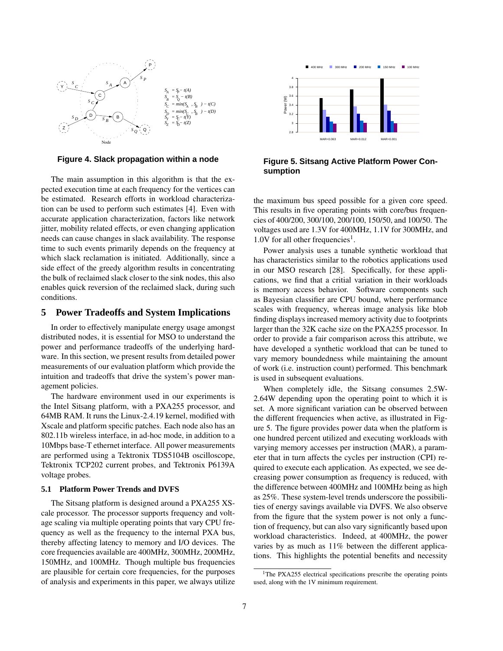

**Figure 4. Slack propagation within a node**

The main assumption in this algorithm is that the expected execution time at each frequency for the vertices can be estimated. Research efforts in workload characterization can be used to perform such estimates [4]. Even with accurate application characterization, factors like network jitter, mobility related effects, or even changing application needs can cause changes in slack availability. The response time to such events primarily depends on the frequency at which slack reclamation is initiated. Additionally, since a side effect of the greedy algorithm results in concentrating the bulk of reclaimed slack closer to the sink nodes, this also enables quick reversion of the reclaimed slack, during such conditions.

## **5 Power Tradeoffs and System Implications**

In order to effectively manipulate energy usage amongst distributed nodes, it is essential for MSO to understand the power and performance tradeoffs of the underlying hardware. In this section, we present results from detailed power measurements of our evaluation platform which provide the intuition and tradeoffs that drive the system's power management policies.

The hardware environment used in our experiments is the Intel Sitsang platform, with a PXA255 processor, and 64MB RAM. It runs the Linux-2.4.19 kernel, modified with Xscale and platform specific patches. Each node also has an 802.11b wireless interface, in ad-hoc mode, in addition to a 10Mbps base-T ethernet interface. All power measurements are performed using a Tektronix TDS5104B oscilloscope, Tektronix TCP202 current probes, and Tektronix P6139A voltage probes.

#### **5.1 Platform Power Trends and DVFS**

The Sitsang platform is designed around a PXA255 XScale processor. The processor supports frequency and voltage scaling via multiple operating points that vary CPU frequency as well as the frequency to the internal PXA bus, thereby affecting latency to memory and I/O devices. The core frequencies available are 400MHz, 300MHz, 200MHz, 150MHz, and 100MHz. Though multiple bus frequencies are plausible for certain core frequencies, for the purposes of analysis and experiments in this paper, we always utilize



**Figure 5. Sitsang Active Platform Power Consumption**

the maximum bus speed possible for a given core speed. This results in five operating points with core/bus frequencies of 400/200, 300/100, 200/100, 150/50, and 100/50. The voltages used are 1.3V for 400MHz, 1.1V for 300MHz, and  $1.0V$  for all other frequencies<sup>1</sup>.

Power analysis uses a tunable synthetic workload that has characteristics similar to the robotics applications used in our MSO research [28]. Specifically, for these applications, we find that a critial variation in their workloads is memory access behavior. Software components such as Bayesian classifier are CPU bound, where performance scales with frequency, whereas image analysis like blob finding displays increased memory activity due to footprints larger than the 32K cache size on the PXA255 processor. In order to provide a fair comparison across this attribute, we have developed a synthetic workload that can be tuned to vary memory boundedness while maintaining the amount of work (i.e. instruction count) performed. This benchmark is used in subsequent evaluations.

When completely idle, the Sitsang consumes 2.5W-2.64W depending upon the operating point to which it is set. A more significant variation can be observed between the different frequencies when active, as illustrated in Figure 5. The figure provides power data when the platform is one hundred percent utilized and executing workloads with varying memory accesses per instruction (MAR), a parameter that in turn affects the cycles per instruction (CPI) required to execute each application. As expected, we see decreasing power consumption as frequency is reduced, with the difference between 400MHz and 100MHz being as high as 25%. These system-level trends underscore the possibilities of energy savings available via DVFS. We also observe from the figure that the system power is not only a function of frequency, but can also vary significantly based upon workload characteristics. Indeed, at 400MHz, the power varies by as much as 11% between the different applications. This highlights the potential benefits and necessity

<sup>&</sup>lt;sup>1</sup>The PXA255 electrical specifications prescribe the operating points used, along with the 1V minimum requirement.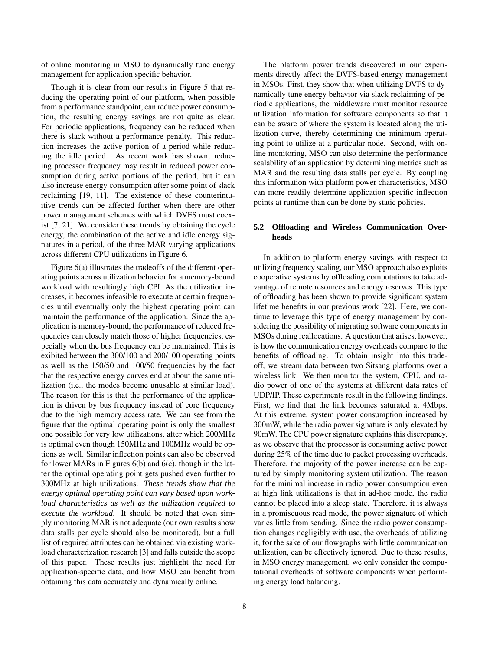of online monitoring in MSO to dynamically tune energy management for application specific behavior.

Though it is clear from our results in Figure 5 that reducing the operating point of our platform, when possible from a performance standpoint, can reduce power consumption, the resulting energy savings are not quite as clear. For periodic applications, frequency can be reduced when there is slack without a performance penalty. This reduction increases the active portion of a period while reducing the idle period. As recent work has shown, reducing processor frequency may result in reduced power consumption during active portions of the period, but it can also increase energy consumption after some point of slack reclaiming [19, 11]. The existence of these counterintuitive trends can be affected further when there are other power management schemes with which DVFS must coexist [7, 21]. We consider these trends by obtaining the cycle energy, the combination of the active and idle energy signatures in a period, of the three MAR varying applications across different CPU utilizations in Figure 6.

Figure 6(a) illustrates the tradeoffs of the different operating points across utilization behavior for a memory-bound workload with resultingly high CPI. As the utilization increases, it becomes infeasible to execute at certain frequencies until eventually only the highest operating point can maintain the performance of the application. Since the application is memory-bound, the performance of reduced frequencies can closely match those of higher frequencies, especially when the bus frequency can be maintained. This is exibited between the 300/100 and 200/100 operating points as well as the 150/50 and 100/50 frequencies by the fact that the respective energy curves end at about the same utilization (i.e., the modes become unusable at similar load). The reason for this is that the performance of the application is driven by bus frequency instead of core frequency due to the high memory access rate. We can see from the figure that the optimal operating point is only the smallest one possible for very low utilizations, after which 200MHz is optimal even though 150MHz and 100MHz would be options as well. Similar inflection points can also be observed for lower MARs in Figures 6(b) and 6(c), though in the latter the optimal operating point gets pushed even further to 300MHz at high utilizations. *These trends show that the energy optimal operating point can vary based upon workload characteristics as well as the utilization required to execute the workload*. It should be noted that even simply monitoring MAR is not adequate (our own results show data stalls per cycle should also be monitored), but a full list of required attributes can be obtained via existing workload characterization research [3] and falls outside the scope of this paper. These results just highlight the need for application-specific data, and how MSO can benefit from obtaining this data accurately and dynamically online.

The platform power trends discovered in our experiments directly affect the DVFS-based energy management in MSOs. First, they show that when utilizing DVFS to dynamically tune energy behavior via slack reclaiming of periodic applications, the middleware must monitor resource utilization information for software components so that it can be aware of where the system is located along the utilization curve, thereby determining the minimum operating point to utilize at a particular node. Second, with online monitoring, MSO can also determine the performance scalability of an application by determining metrics such as MAR and the resulting data stalls per cycle. By coupling this information with platform power characteristics, MSO can more readily determine application specific inflection points at runtime than can be done by static policies.

# **5.2 Offloading and Wireless Communication Overheads**

In addition to platform energy savings with respect to utilizing frequency scaling, our MSO approach also exploits cooperative systems by offloading computations to take advantage of remote resources and energy reserves. This type of offloading has been shown to provide significant system lifetime benefits in our previous work [22]. Here, we continue to leverage this type of energy management by considering the possibility of migrating software components in MSOs during reallocations. A question that arises, however, is how the communication energy overheads compare to the benefits of offloading. To obtain insight into this tradeoff, we stream data between two Sitsang platforms over a wireless link. We then monitor the system, CPU, and radio power of one of the systems at different data rates of UDP/IP. These experiments result in the following findings. First, we find that the link becomes saturated at 4Mbps. At this extreme, system power consumption increased by 300mW, while the radio power signature is only elevated by 90mW. The CPU power signature explains this discrepancy, as we observe that the processor is consuming active power during 25% of the time due to packet processing overheads. Therefore, the majority of the power increase can be captured by simply monitoring system utilization. The reason for the minimal increase in radio power consumption even at high link utilizations is that in ad-hoc mode, the radio cannot be placed into a sleep state. Therefore, it is always in a promiscuous read mode, the power signature of which varies little from sending. Since the radio power consumption changes negligibly with use, the overheads of utilizing it, for the sake of our flowgraphs with little communication utilization, can be effectively ignored. Due to these results, in MSO energy management, we only consider the computational overheads of software components when performing energy load balancing.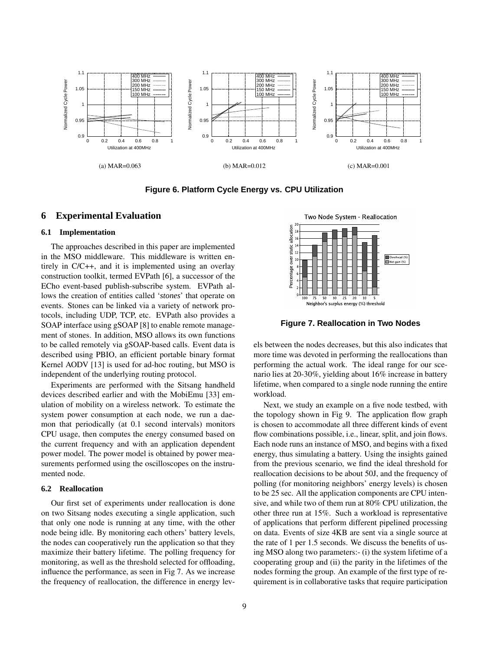

**Figure 6. Platform Cycle Energy vs. CPU Utilization**

# **6 Experimental Evaluation**

#### **6.1 Implementation**

The approaches described in this paper are implemented in the MSO middleware. This middleware is written entirely in C/C++, and it is implemented using an overlay construction toolkit, termed EVPath [6], a successor of the ECho event-based publish-subscribe system. EVPath allows the creation of entities called '*stones*' that operate on events. Stones can be linked via a variety of network protocols, including UDP, TCP, etc. EVPath also provides a SOAP interface using gSOAP [8] to enable remote management of stones. In addition, MSO allows its own functions to be called remotely via gSOAP-based calls. Event data is described using PBIO, an efficient portable binary format Kernel AODV [13] is used for ad-hoc routing, but MSO is independent of the underlying routing protocol.

Experiments are performed with the Sitsang handheld devices described earlier and with the MobiEmu [33] emulation of mobility on a wireless network. To estimate the system power consumption at each node, we run a daemon that periodically (at 0.1 second intervals) monitors CPU usage, then computes the energy consumed based on the current frequency and with an application dependent power model. The power model is obtained by power measurements performed using the oscilloscopes on the instrumented node.

# **6.2 Reallocation**

Our first set of experiments under reallocation is done on two Sitsang nodes executing a single application, such that only one node is running at any time, with the other node being idle. By monitoring each others' battery levels, the nodes can cooperatively run the application so that they maximize their battery lifetime. The polling frequency for monitoring, as well as the threshold selected for offloading, influence the performance, as seen in Fig 7. As we increase the frequency of reallocation, the difference in energy lev-



**Figure 7. Reallocation in Two Nodes**

els between the nodes decreases, but this also indicates that more time was devoted in performing the reallocations than performing the actual work. The ideal range for our scenario lies at 20-30%, yielding about 16% increase in battery lifetime, when compared to a single node running the entire workload.

Next, we study an example on a five node testbed, with the topology shown in Fig 9. The application flow graph is chosen to accommodate all three different kinds of event flow combinations possible, i.e., linear, split, and join flows. Each node runs an instance of MSO, and begins with a fixed energy, thus simulating a battery. Using the insights gained from the previous scenario, we find the ideal threshold for reallocation decisions to be about 50J, and the frequency of polling (for monitoring neighbors' energy levels) is chosen to be 25 sec. All the application components are CPU intensive, and while two of them run at 80% CPU utilization, the other three run at 15%. Such a workload is representative of applications that perform different pipelined processing on data. Events of size 4KB are sent via a single source at the rate of 1 per 1.5 seconds. We discuss the benefits of using MSO along two parameters:- (i) the system lifetime of a cooperating group and (ii) the parity in the lifetimes of the nodes forming the group. An example of the first type of requirement is in collaborative tasks that require participation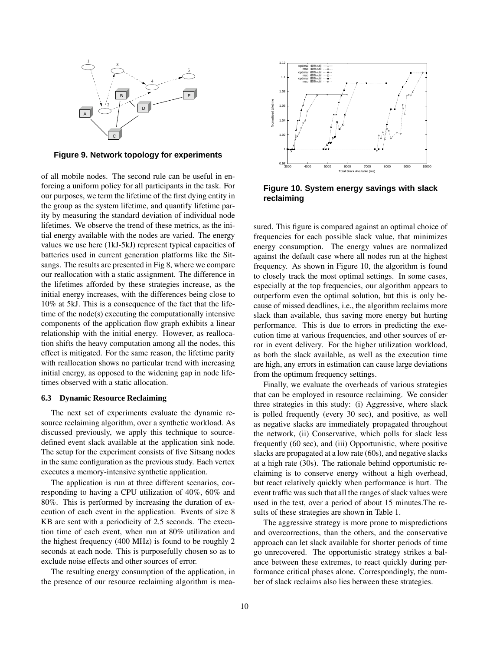

**Figure 9. Network topology for experiments**

of all mobile nodes. The second rule can be useful in enforcing a uniform policy for all participants in the task. For our purposes, we term the lifetime of the first dying entity in the group as the system lifetime, and quantify lifetime parity by measuring the standard deviation of individual node lifetimes. We observe the trend of these metrics, as the initial energy available with the nodes are varied. The energy values we use here (1kJ-5kJ) represent typical capacities of batteries used in current generation platforms like the Sitsangs. The results are presented in Fig 8, where we compare our reallocation with a static assignment. The difference in the lifetimes afforded by these strategies increase, as the initial energy increases, with the differences being close to 10% at 5kJ. This is a consequence of the fact that the lifetime of the node(s) executing the computationally intensive components of the application flow graph exhibits a linear relationship with the initial energy. However, as reallocation shifts the heavy computation among all the nodes, this effect is mitigated. For the same reason, the lifetime parity with reallocation shows no particular trend with increasing initial energy, as opposed to the widening gap in node lifetimes observed with a static allocation.

#### **6.3 Dynamic Resource Reclaiming**

The next set of experiments evaluate the dynamic resource reclaiming algorithm, over a synthetic workload. As discussed previously, we apply this technique to sourcedefined event slack available at the application sink node. The setup for the experiment consists of five Sitsang nodes in the same configuration as the previous study. Each vertex executes a memory-intensive synthetic application.

The application is run at three different scenarios, corresponding to having a CPU utilization of 40%, 60% and 80%. This is performed by increasing the duration of execution of each event in the application. Events of size 8 KB are sent with a periodicity of 2.5 seconds. The execution time of each event, when run at 80% utilization and the highest frequency (400 MHz) is found to be roughly 2 seconds at each node. This is purposefully chosen so as to exclude noise effects and other sources of error.

The resulting energy consumption of the application, in the presence of our resource reclaiming algorithm is mea-



**Figure 10. System energy savings with slack reclaiming**

sured. This figure is compared against an optimal choice of frequencies for each possible slack value, that minimizes energy consumption. The energy values are normalized against the default case where all nodes run at the highest frequency. As shown in Figure 10, the algorithm is found to closely track the most optimal settings. In some cases, especially at the top frequencies, our algorithm appears to outperform even the optimal solution, but this is only because of missed deadlines, i.e., the algorithm reclaims more slack than available, thus saving more energy but hurting performance. This is due to errors in predicting the execution time at various frequencies, and other sources of error in event delivery. For the higher utilization workload, as both the slack available, as well as the execution time are high, any errors in estimation can cause large deviations from the optimum frequency settings.

Finally, we evaluate the overheads of various strategies that can be employed in resource reclaiming. We consider three strategies in this study: (i) Aggressive, where slack is polled frequently (every 30 sec), and positive, as well as negative slacks are immediately propagated throughout the network, (ii) Conservative, which polls for slack less frequently (60 sec), and (iii) Opportunistic, where positive slacks are propagated at a low rate (60s), and negative slacks at a high rate (30s). The rationale behind opportunistic reclaiming is to conserve energy without a high overhead, but react relatively quickly when performance is hurt. The event traffic was such that all the ranges of slack values were used in the test, over a period of about 15 minutes.The results of these strategies are shown in Table 1.

The aggressive strategy is more prone to mispredictions and overcorrections, than the others, and the conservative approach can let slack available for shorter periods of time go unrecovered. The opportunistic strategy strikes a balance between these extremes, to react quickly during performance critical phases alone. Correspondingly, the number of slack reclaims also lies between these strategies.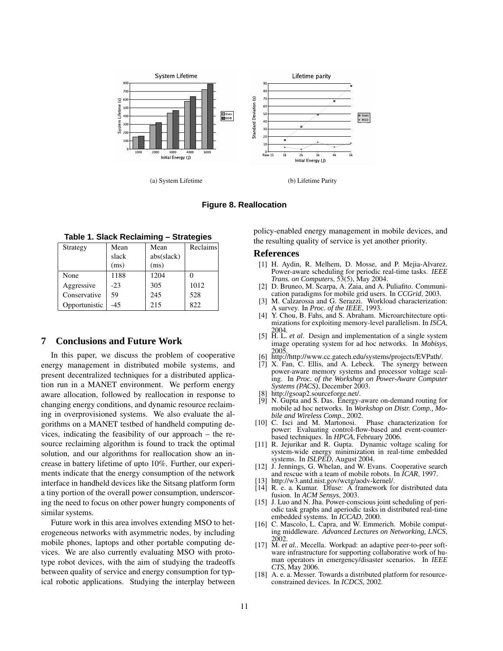

(a) System Lifetime (b) Lifetime Parity



**Table 1. Slack Reclaiming – Strategies**

| Strategy      | Mean  | Mean       | Reclaims |
|---------------|-------|------------|----------|
|               | slack | abs(slack) |          |
|               | (ms)  | (ms)       |          |
| None          | 1188  | 1204       |          |
| Aggressive    | $-23$ | 305        | 1012     |
| Conservative  | 59    | 245        | 528      |
| Opportunistic | $-45$ | 215        | 822      |

# **7 Conclusions and Future Work**

In this paper, we discuss the problem of cooperative energy management in distributed mobile systems, and present decentralized techniques for a distributed application run in a MANET environment. We perform energy aware allocation, followed by reallocation in response to changing energy conditions, and dynamic resource reclaiming in overprovisioned systems. We also evaluate the algorithms on a MANET testbed of handheld computing devices, indicating the feasibility of our approach – the resource reclaiming algorithm is found to track the optimal solution, and our algorithms for reallocation show an increase in battery lifetime of upto 10%. Further, our experiments indicate that the energy consumption of the network interface in handheld devices like the Sitsang platform form a tiny portion of the overall power consumption, underscoring the need to focus on other power hungry components of similar systems.

Future work in this area involves extending MSO to heterogeneous networks with asymmetric nodes, by including mobile phones, laptops and other portable computing devices. We are also currently evaluating MSO with prototype robot devices, with the aim of studying the tradeoffs between quality of service and energy consumption for typical robotic applications. Studying the interplay between

policy-enabled energy management in mobile devices, and the resulting quality of service is yet another priority.

#### **References**

- [1] H. Aydin, R. Melhem, D. Mosse, and P. Mejia-Alvarez. Power-aware scheduling for periodic real-time tasks. *IEEE Trans. on Computers*, 53(5), May 2004.
- [2] D. Bruneo, M. Scarpa, A. Zaia, and A. Puliafito. Communication paradigms for mobile grid users. In *CCGrid*, 2003.
- [3] M. Calzarossa and G. Serazzi. Workload characterization: A survey. In *Proc. of the IEEE*, 1993.
- [4] Y. Chou, B. Fahs, and S. Abraham. Microarchitecture optimizations for exploiting memory-level parallelism. In *ISCA*,
- 2004. [5] H. L. *et al*. Design and implementation of a single system image operating system for ad hoc networks. In *Mobisys*, 2005.
- [6] http://http://www.cc.gatech.edu/systems/projects/EVPath/.
- [7] X. Fan, C. Ellis, and A. Lebeck. The synergy between power-aware memory systems and processor voltage scaling. In *Proc. of the Workshop on Power-Aware Computer Systems (PACS)*, December 2003.
- [8] http://gsoap2.sourceforge.net/.
- [9] N. Gupta and S. Das. Energy-aware on-demand routing for mobile ad hoc networks. In *Workshop on Distr. Comp., Mobile and Wireless Comp.*, 2002.
- [10] C. Isci and M. Martonosi. Phase characterization for power: Evaluating control-flow-based and event-counterbased techniques. In *HPCA*, February 2006.
- [11] R. Jejurikar and R. Gupta. Dynamic voltage scaling for system-wide energy minimization in real-time embedded systems. In *ISLPED*, August 2004.
- [12] J. Jennings, G. Whelan, and W. Evans. Cooperative search and rescue with a team of mobile robots. In *ICAR*, 1997.
- [13] http://w3.antd.nist.gov/wctg/aodv-kernel/.
- [14] R. e. a. Kumar. Dfuse: A framework for distributed data fusion. In *ACM Sensys*, 2003.
- [15] J. Luo and N. Jha. Power-conscious joint scheduling of periodic task graphs and aperiodic tasks in distributed real-time embedded systems. In *ICCAD*, 2000.
- [16] C. Mascolo, L. Capra, and W. Emmerich. Mobile computing middleware. *Advanced Lectures on Networking, LNCS*, 2002. [17] M. *et al.*. Mecella. Workpad: an adaptive peer-to-peer soft-
- ware infrastructure for supporting collaborative work of human operators in emergency/disaster scenarios. In *IEEE CTS*, May 2006.
- [18] A. e. a. Messer. Towards a distributed platform for resourceconstrained devices. In *ICDCS*, 2002.